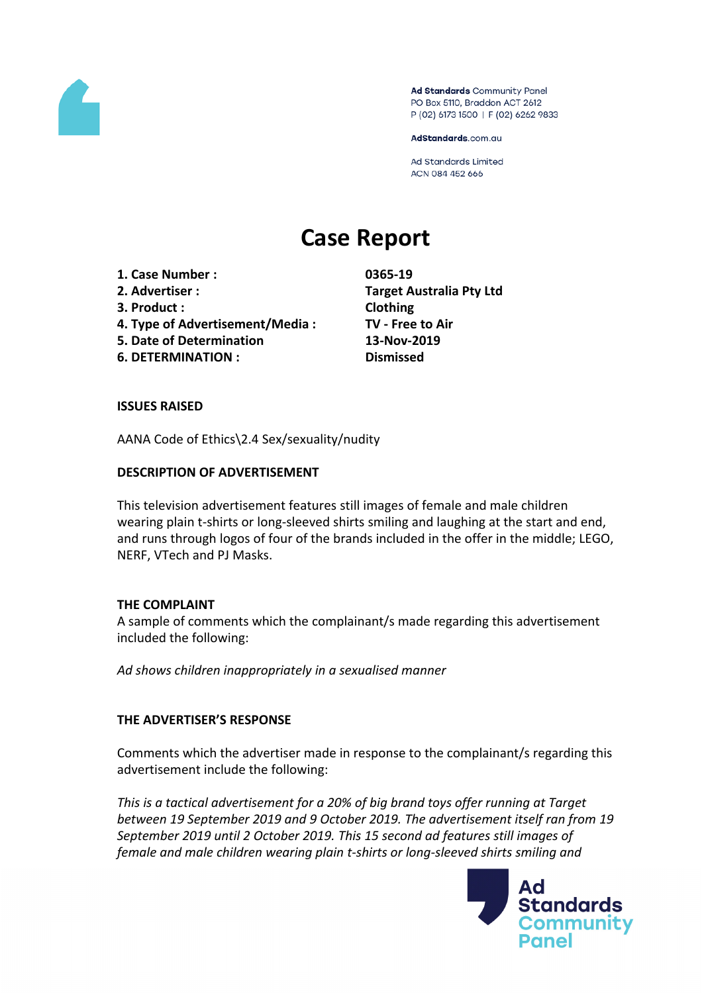

Ad Standards Community Panel PO Box 5110, Braddon ACT 2612 P (02) 6173 1500 | F (02) 6262 9833

AdStandards.com.au

Ad Standards Limited ACN 084 452 666

# **Case Report**

- **1. Case Number : 0365-19**
- 
- **3. Product : Clothing**
- **4. Type of Advertisement/Media : TV - Free to Air**
- **5. Date of Determination 13-Nov-2019**
- **6. DETERMINATION : Dismissed**

**2. Advertiser : Target Australia Pty Ltd**

#### **ISSUES RAISED**

AANA Code of Ethics\2.4 Sex/sexuality/nudity

### **DESCRIPTION OF ADVERTISEMENT**

This television advertisement features still images of female and male children wearing plain t-shirts or long-sleeved shirts smiling and laughing at the start and end, and runs through logos of four of the brands included in the offer in the middle; LEGO, NERF, VTech and PJ Masks.

#### **THE COMPLAINT**

A sample of comments which the complainant/s made regarding this advertisement included the following:

*Ad shows children inappropriately in a sexualised manner*

## **THE ADVERTISER'S RESPONSE**

Comments which the advertiser made in response to the complainant/s regarding this advertisement include the following:

*This is a tactical advertisement for a 20% of big brand toys offer running at Target between 19 September 2019 and 9 October 2019. The advertisement itself ran from 19 September 2019 until 2 October 2019. This 15 second ad features still images of female and male children wearing plain t-shirts or long-sleeved shirts smiling and*

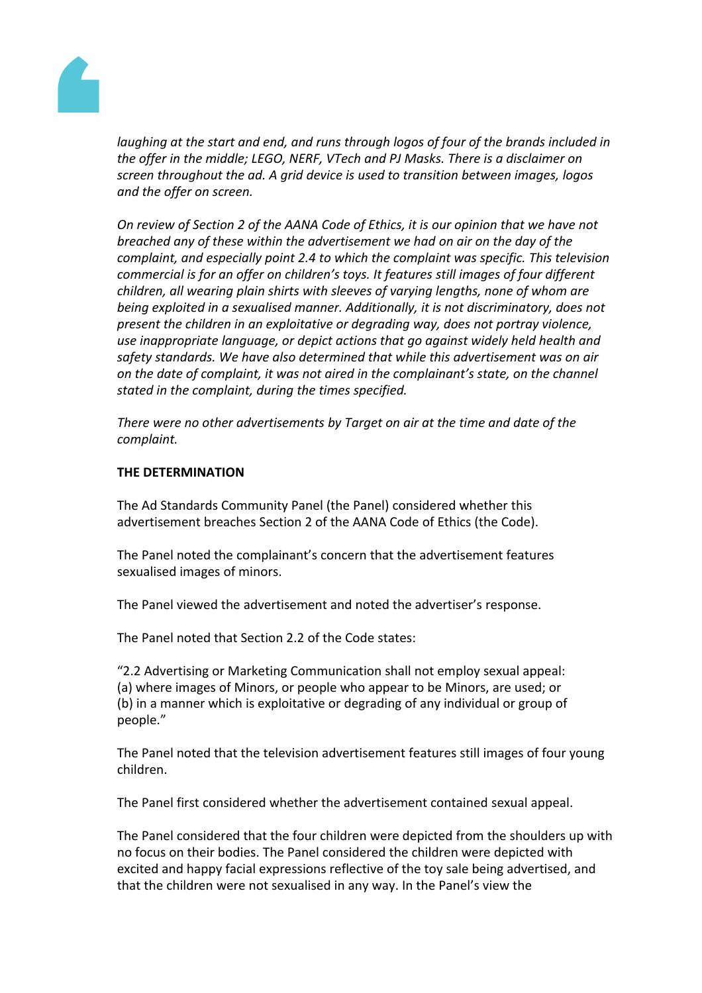

*laughing at the start and end, and runs through logos of four of the brands included in the offer in the middle; LEGO, NERF, VTech and PJ Masks. There is a disclaimer on screen throughout the ad. A grid device is used to transition between images, logos and the offer on screen.*

*On review of Section 2 of the AANA Code of Ethics, it is our opinion that we have not breached any of these within the advertisement we had on air on the day of the complaint, and especially point 2.4 to which the complaint was specific. This television commercial is for an offer on children's toys. It features still images of four different children, all wearing plain shirts with sleeves of varying lengths, none of whom are being exploited in a sexualised manner. Additionally, it is not discriminatory, does not present the children in an exploitative or degrading way, does not portray violence, use inappropriate language, or depict actions that go against widely held health and safety standards. We have also determined that while this advertisement was on air on the date of complaint, it was not aired in the complainant's state, on the channel stated in the complaint, during the times specified.*

*There were no other advertisements by Target on air at the time and date of the complaint.*

#### **THE DETERMINATION**

The Ad Standards Community Panel (the Panel) considered whether this advertisement breaches Section 2 of the AANA Code of Ethics (the Code).

The Panel noted the complainant's concern that the advertisement features sexualised images of minors.

The Panel viewed the advertisement and noted the advertiser's response.

The Panel noted that Section 2.2 of the Code states:

"2.2 Advertising or Marketing Communication shall not employ sexual appeal: (a) where images of Minors, or people who appear to be Minors, are used; or (b) in a manner which is exploitative or degrading of any individual or group of people."

The Panel noted that the television advertisement features still images of four young children.

The Panel first considered whether the advertisement contained sexual appeal.

The Panel considered that the four children were depicted from the shoulders up with no focus on their bodies. The Panel considered the children were depicted with excited and happy facial expressions reflective of the toy sale being advertised, and that the children were not sexualised in any way. In the Panel's view the